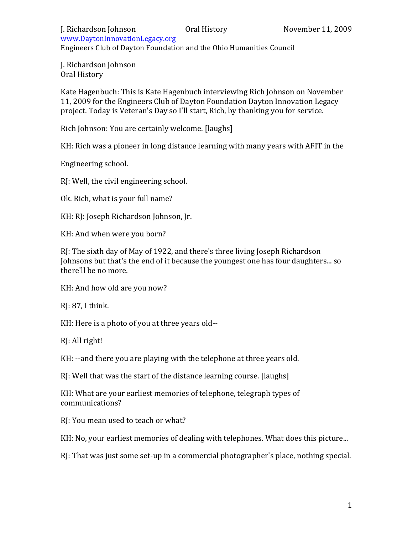www.DaytonInnovationLegacy.org# Engineers Club of Dayton Foundation and the Ohio Humanities Council

J. Richardson Johnson Oral History

Kate Hagenbuch: This is Kate Hagenbuch interviewing Rich Johnson on November 11, 2009 for the Engineers Club of Dayton Foundation Dayton Innovation Legacy project. Today is Veteran's Day so I'll start, Rich, by thanking you for service.

Rich Johnson: You are certainly welcome. [laughs]

KH: Rich was a pioneer in long distance learning with many years with AFIT in the

Engineering school.

RJ: Well, the civil engineering school.

Ok. Rich, what is your full name?

KH: RJ: Joseph Richardson Johnson, Jr.

KH: And when were you born?

RJ: The sixth day of May of 1922, and there's three living Joseph Richardson Johnsons but that's the end of it because the youngest one has four daughters... so there'll be no more.

KH: And how old are you now?

RJ: 87, I think.

KH: Here is a photo of you at three years old--

RJ: All right!

KH: --and there you are playing with the telephone at three years old.

RJ: Well that was the start of the distance learning course. [laughs]

KH: What are your earliest memories of telephone, telegraph types of communications?

RJ: You mean used to teach or what?

KH: No, your earliest memories of dealing with telephones. What does this picture...

RJ: That was just some set-up in a commercial photographer's place, nothing special.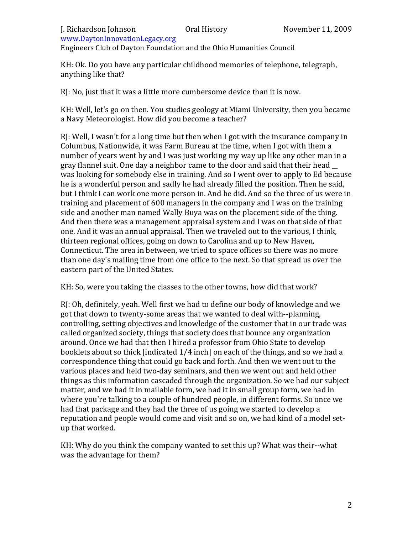Engineers Club of Dayton Foundation and the Ohio Humanities Council

KH: Ok. Do you have any particular childhood memories of telephone, telegraph, anything like that?

RI: No, just that it was a little more cumbersome device than it is now.

KH: Well, let's go on then. You studies geology at Miami University, then you became a Navy Meteorologist. How did you become a teacher?

RI: Well, I wasn't for a long time but then when I got with the insurance company in Columbus, Nationwide, it was Farm Bureau at the time, when I got with them a number of years went by and I was just working my way up like any other man in a gray flannel suit. One day a neighbor came to the door and said that their head was looking for somebody else in training. And so I went over to apply to Ed because he is a wonderful person and sadly he had already filled the position. Then he said, but I think I can work one more person in. And he did. And so the three of us were in training and placement of 600 managers in the company and I was on the training side and another man named Wally Buya was on the placement side of the thing. And then there was a management appraisal system and I was on that side of that one. And it was an annual appraisal. Then we traveled out to the various, I think, thirteen regional offices, going on down to Carolina and up to New Haven, Connecticut. The area in between, we tried to space offices so there was no more than one day's mailing time from one office to the next. So that spread us over the eastern part of the United States.

KH: So, were you taking the classes to the other towns, how did that work?

RJ: Oh, definitely, yeah. Well first we had to define our body of knowledge and we got that down to twenty-some areas that we wanted to deal with--planning, controlling, setting objectives and knowledge of the customer that in our trade was called organized society, things that society does that bounce any organization around. Once we had that then I hired a professor from Ohio State to develop booklets about so thick [indicated  $1/4$  inch] on each of the things, and so we had a correspondence thing that could go back and forth. And then we went out to the various places and held two-day seminars, and then we went out and held other things as this information cascaded through the organization. So we had our subject matter, and we had it in mailable form, we had it in small group form, we had in where you're talking to a couple of hundred people, in different forms. So once we had that package and they had the three of us going we started to develop a reputation and people would come and visit and so on, we had kind of a model setup that worked.

KH: Why do you think the company wanted to set this up? What was their--what was the advantage for them?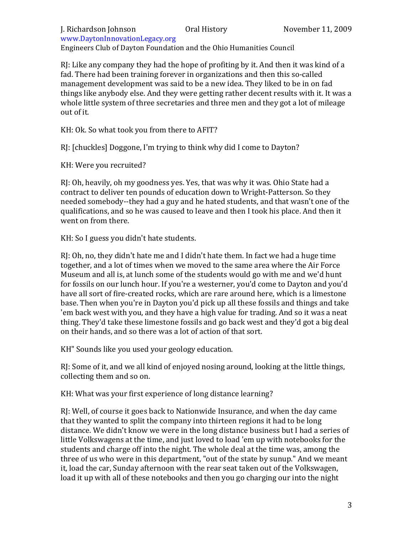### J. Richardson Johnson Oral History November 11, 2009 www.DaytonInnovationLegacy.org#

Engineers Club of Dayton Foundation and the Ohio Humanities Council

 $R$ : Like any company they had the hope of profiting by it. And then it was kind of a fad. There had been training forever in organizations and then this so-called management development was said to be a new idea. They liked to be in on fad things like anybody else. And they were getting rather decent results with it. It was a whole little system of three secretaries and three men and they got a lot of mileage out of it.

KH: Ok. So what took you from there to AFIT?

RI: [chuckles] Doggone, I'm trying to think why did I come to Dayton?

KH: Were you recruited?

RJ: Oh, heavily, oh my goodness yes. Yes, that was why it was. Ohio State had a contract to deliver ten pounds of education down to Wright-Patterson. So they needed somebody--they had a guy and he hated students, and that wasn't one of the qualifications, and so he was caused to leave and then I took his place. And then it went on from there.

KH: So I guess you didn't hate students.

RJ: Oh, no, they didn't hate me and I didn't hate them. In fact we had a huge time together, and a lot of times when we moved to the same area where the Air Force Museum and all is, at lunch some of the students would go with me and we'd hunt for fossils on our lunch hour. If you're a westerner, you'd come to Dayton and you'd have all sort of fire-created rocks, which are rare around here, which is a limestone base. Then when you're in Dayton you'd pick up all these fossils and things and take 'em back west with you, and they have a high value for trading. And so it was a neat thing. They'd take these limestone fossils and go back west and they'd got a big deal on their hands, and so there was a lot of action of that sort.

KH" Sounds like you used your geology education.

RJ: Some of it, and we all kind of enjoved nosing around, looking at the little things, collecting them and so on.

KH: What was your first experience of long distance learning?

RJ: Well, of course it goes back to Nationwide Insurance, and when the day came that they wanted to split the company into thirteen regions it had to be long distance. We didn't know we were in the long distance business but I had a series of little Volkswagens at the time, and just loved to load 'em up with notebooks for the students and charge off into the night. The whole deal at the time was, among the three of us who were in this department, "out of the state by sunup." And we meant it, load the car, Sunday afternoon with the rear seat taken out of the Volkswagen, load it up with all of these notebooks and then you go charging our into the night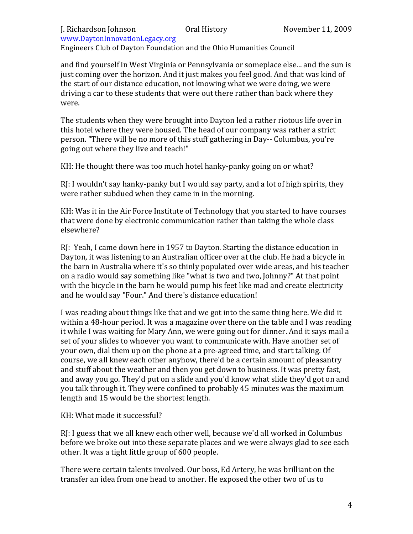Engineers Club of Dayton Foundation and the Ohio Humanities Council

and find yourself in West Virginia or Pennsylvania or someplace else... and the sun is just coming over the horizon. And it just makes you feel good. And that was kind of the start of our distance education, not knowing what we were doing, we were driving a car to these students that were out there rather than back where they were.

The students when they were brought into Dayton led a rather riotous life over in this hotel where they were housed. The head of our company was rather a strict person. "There will be no more of this stuff gathering in Day-- Columbus, you're going out where they live and teach!"

KH: He thought there was too much hotel hanky-panky going on or what?

 $R$ : I wouldn't say hanky-panky but I would say party, and a lot of high spirits, they were rather subdued when they came in in the morning.

KH: Was it in the Air Force Institute of Technology that you started to have courses that were done by electronic communication rather than taking the whole class elsewhere?

RJ: Yeah, I came down here in 1957 to Dayton. Starting the distance education in Dayton, it was listening to an Australian officer over at the club. He had a bicycle in the barn in Australia where it's so thinly populated over wide areas, and his teacher on a radio would say something like "what is two and two, Johnny?" At that point with the bicycle in the barn he would pump his feet like mad and create electricity and he would say "Four." And there's distance education!

I was reading about things like that and we got into the same thing here. We did it within a 48-hour period. It was a magazine over there on the table and I was reading it while I was waiting for Mary Ann, we were going out for dinner. And it says mail a set of your slides to whoever you want to communicate with. Have another set of your own, dial them up on the phone at a pre-agreed time, and start talking. Of course, we all knew each other anyhow, there'd be a certain amount of pleasantry and stuff about the weather and then you get down to business. It was pretty fast, and away you go. They'd put on a slide and you'd know what slide they'd got on and you talk through it. They were confined to probably 45 minutes was the maximum length and 15 would be the shortest length.

## KH: What made it successful?

RJ: I guess that we all knew each other well, because we'd all worked in Columbus before we broke out into these separate places and we were always glad to see each other. It was a tight little group of 600 people.

There were certain talents involved. Our boss, Ed Artery, he was brilliant on the transfer an idea from one head to another. He exposed the other two of us to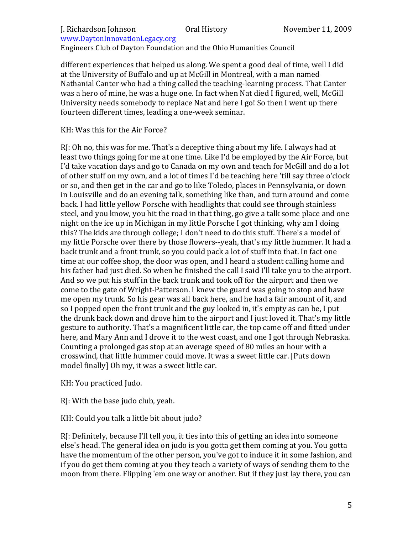### J. Richardson Johnson **Oral History** November 11, 2009 www.DaytonInnovationLegacy.org#

Engineers Club of Dayton Foundation and the Ohio Humanities Council

different experiences that helped us along. We spent a good deal of time, well I did at the University of Buffalo and up at McGill in Montreal, with a man named Nathanial Canter who had a thing called the teaching-learning process. That Canter was a hero of mine, he was a huge one. In fact when Nat died I figured, well, McGill University needs somebody to replace Nat and here I go! So then I went up there fourteen different times, leading a one-week seminar.

KH: Was this for the Air Force?

 $R$ : Oh no, this was for me. That's a deceptive thing about my life. I always had at least two things going for me at one time. Like I'd be employed by the Air Force, but I'd take vacation days and go to Canada on my own and teach for McGill and do a lot of other stuff on my own, and a lot of times I'd be teaching here 'till say three o'clock or so, and then get in the car and go to like Toledo, places in Pennsylvania, or down in Louisville and do an evening talk, something like than, and turn around and come back. I had little yellow Porsche with headlights that could see through stainless steel, and you know, you hit the road in that thing, go give a talk some place and one night on the ice up in Michigan in my little Porsche I got thinking, why am I doing this? The kids are through college; I don't need to do this stuff. There's a model of my little Porsche over there by those flowers--yeah, that's my little hummer. It had a back trunk and a front trunk, so you could pack a lot of stuff into that. In fact one time at our coffee shop, the door was open, and I heard a student calling home and his father had just died. So when he finished the call I said I'll take you to the airport. And so we put his stuff in the back trunk and took off for the airport and then we come to the gate of Wright-Patterson. I knew the guard was going to stop and have me open my trunk. So his gear was all back here, and he had a fair amount of it, and so I popped open the front trunk and the guy looked in, it's empty as can be, I put the drunk back down and drove him to the airport and I just loved it. That's my little gesture to authority. That's a magnificent little car, the top came off and fitted under here, and Mary Ann and I drove it to the west coast, and one I got through Nebraska. Counting a prolonged gas stop at an average speed of 80 miles an hour with a crosswind, that little hummer could move. It was a sweet little car. [Puts down model finally] Oh my, it was a sweet little car.

KH: You practiced Judo.

RJ: With the base judo club, yeah.

KH: Could you talk a little bit about judo?

RI: Definitely, because I'll tell you, it ties into this of getting an idea into someone else's head. The general idea on judo is you gotta get them coming at you. You gotta have the momentum of the other person, you've got to induce it in some fashion, and if you do get them coming at you they teach a variety of ways of sending them to the moon from there. Flipping 'em one way or another. But if they just lay there, you can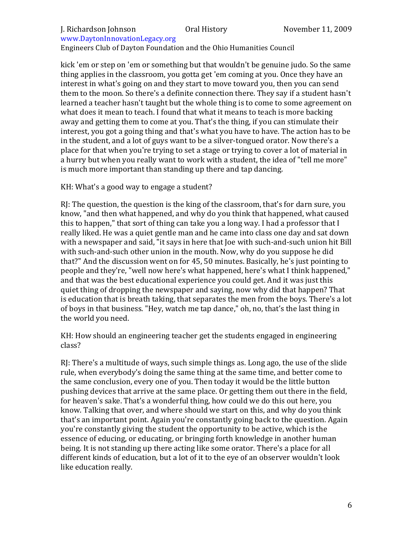Engineers Club of Dayton Foundation and the Ohio Humanities Council

kick 'em or step on 'em or something but that wouldn't be genuine judo. So the same thing applies in the classroom, you gotta get 'em coming at you. Once they have an interest in what's going on and they start to move toward you, then you can send them to the moon. So there's a definite connection there. They say if a student hasn't learned a teacher hasn't taught but the whole thing is to come to some agreement on what does it mean to teach. I found that what it means to teach is more backing away and getting them to come at you. That's the thing, if you can stimulate their interest, you got a going thing and that's what you have to have. The action has to be in the student, and a lot of guys want to be a silver-tongued orator. Now there's a place for that when you're trying to set a stage or trying to cover a lot of material in a hurry but when you really want to work with a student, the idea of "tell me more" is much more important than standing up there and tap dancing.

## KH: What's a good way to engage a student?

RI: The question, the question is the king of the classroom, that's for darn sure, you know, "and then what happened, and why do you think that happened, what caused this to happen," that sort of thing can take you a long way. I had a professor that I really liked. He was a quiet gentle man and he came into class one day and sat down with a newspaper and said, "it says in here that Joe with such-and-such union hit Bill with such-and-such other union in the mouth. Now, why do you suppose he did that?" And the discussion went on for 45, 50 minutes. Basically, he's just pointing to people and they're, "well now here's what happened, here's what I think happened," and that was the best educational experience you could get. And it was just this quiet thing of dropping the newspaper and saying, now why did that happen? That is education that is breath taking, that separates the men from the boys. There's a lot of boys in that business. "Hey, watch me tap dance," oh, no, that's the last thing in the world you need.

KH: How should an engineering teacher get the students engaged in engineering class?

RJ: There's a multitude of ways, such simple things as. Long ago, the use of the slide rule, when everybody's doing the same thing at the same time, and better come to the same conclusion, every one of you. Then today it would be the little button pushing devices that arrive at the same place. Or getting them out there in the field, for heaven's sake. That's a wonderful thing, how could we do this out here, you know. Talking that over, and where should we start on this, and why do you think that's an important point. Again you're constantly going back to the question. Again you're constantly giving the student the opportunity to be active, which is the essence of educing, or educating, or bringing forth knowledge in another human being. It is not standing up there acting like some orator. There's a place for all different kinds of education, but a lot of it to the eye of an observer wouldn't look like education really.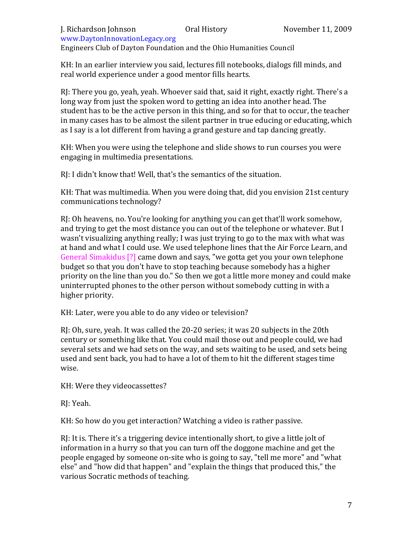### J. Richardson Johnson Oral History November 11, 2009 www.DaytonInnovationLegacy.org#

Engineers Club of Dayton Foundation and the Ohio Humanities Council

KH: In an earlier interview you said, lectures fill notebooks, dialogs fill minds, and real world experience under a good mentor fills hearts.

RJ: There you go, yeah, yeah. Whoever said that, said it right, exactly right. There's a long way from just the spoken word to getting an idea into another head. The student has to be the active person in this thing, and so for that to occur, the teacher in many cases has to be almost the silent partner in true educing or educating, which as I say is a lot different from having a grand gesture and tap dancing greatly.

KH: When you were using the telephone and slide shows to run courses you were engaging in multimedia presentations.

RJ: I didn't know that! Well, that's the semantics of the situation.

KH: That was multimedia. When you were doing that, did you envision 21st century communications technology?

RI: Oh heavens, no. You're looking for anything you can get that'll work somehow, and trying to get the most distance you can out of the telephone or whatever. But I wasn't visualizing anything really; I was just trying to go to the max with what was at hand and what I could use. We used telephone lines that the Air Force Learn, and General Simakidus [?] came down and says, "we gotta get you your own telephone budget so that you don't have to stop teaching because somebody has a higher priority on the line than you do." So then we got a little more money and could make uninterrupted phones to the other person without somebody cutting in with a higher priority.

KH: Later, were you able to do any video or television?

RJ: Oh, sure, yeah. It was called the 20-20 series; it was 20 subjects in the 20th century or something like that. You could mail those out and people could, we had several sets and we had sets on the way, and sets waiting to be used, and sets being used and sent back, you had to have a lot of them to hit the different stages time wise.

KH: Were they videocassettes?

RJ: Yeah.

KH: So how do you get interaction? Watching a video is rather passive.

RI: It is. There it's a triggering device intentionally short, to give a little jolt of information in a hurry so that you can turn off the doggone machine and get the people engaged by someone on-site who is going to say, "tell me more" and "what else" and "how did that happen" and "explain the things that produced this," the various Socratic methods of teaching.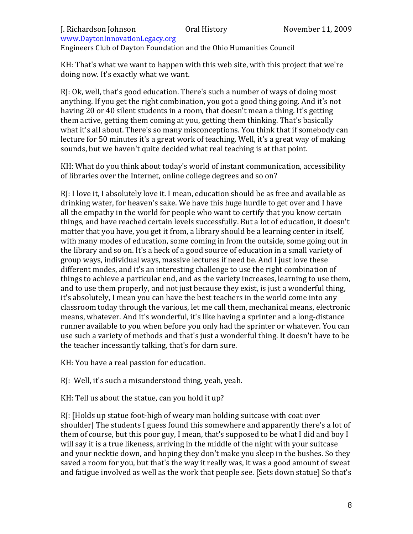Engineers Club of Dayton Foundation and the Ohio Humanities Council

KH: That's what we want to happen with this web site, with this project that we're doing now. It's exactly what we want.

RJ: Ok, well, that's good education. There's such a number of ways of doing most anything. If you get the right combination, you got a good thing going. And it's not having 20 or 40 silent students in a room, that doesn't mean a thing. It's getting them active, getting them coming at you, getting them thinking. That's basically what it's all about. There's so many misconceptions. You think that if somebody can lecture for 50 minutes it's a great work of teaching. Well, it's a great way of making sounds, but we haven't quite decided what real teaching is at that point.

KH: What do you think about today's world of instant communication, accessibility of libraries over the Internet, online college degrees and so on?

RI: I love it. I absolutely love it. I mean, education should be as free and available as drinking water, for heaven's sake. We have this huge hurdle to get over and I have all the empathy in the world for people who want to certify that you know certain things, and have reached certain levels successfully. But a lot of education, it doesn't matter that you have, you get it from, a library should be a learning center in itself, with many modes of education, some coming in from the outside, some going out in the library and so on. It's a heck of a good source of education in a small variety of group ways, individual ways, massive lectures if need be. And I just love these different modes, and it's an interesting challenge to use the right combination of things to achieve a particular end, and as the variety increases, learning to use them, and to use them properly, and not just because they exist, is just a wonderful thing, it's absolutely, I mean you can have the best teachers in the world come into any classroom today through the various, let me call them, mechanical means, electronic means, whatever. And it's wonderful, it's like having a sprinter and a long-distance runner available to you when before you only had the sprinter or whatever. You can use such a variety of methods and that's just a wonderful thing. It doesn't have to be the teacher incessantly talking, that's for darn sure.

KH: You have a real passion for education.

RJ: Well, it's such a misunderstood thing, yeah, yeah.

KH: Tell us about the statue, can you hold it up?

RI: [Holds up statue foot-high of weary man holding suitcase with coat over shoulder] The students I guess found this somewhere and apparently there's a lot of them of course, but this poor guy, I mean, that's supposed to be what I did and boy I will say it is a true likeness, arriving in the middle of the night with your suitcase and your necktie down, and hoping they don't make you sleep in the bushes. So they saved a room for you, but that's the way it really was, it was a good amount of sweat and fatigue involved as well as the work that people see. [Sets down statue] So that's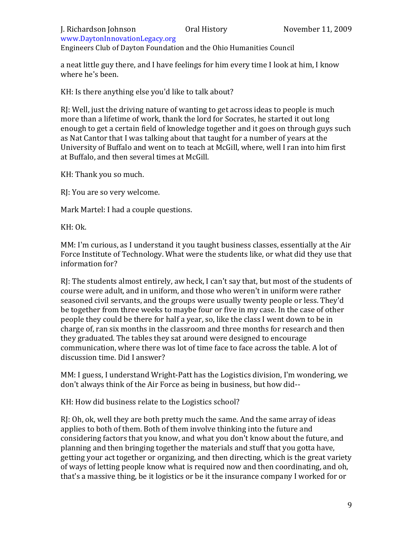Engineers Club of Dayton Foundation and the Ohio Humanities Council

a neat little guy there, and I have feelings for him every time I look at him, I know where he's been.

KH: Is there anything else you'd like to talk about?

RJ: Well, just the driving nature of wanting to get across ideas to people is much more than a lifetime of work, thank the lord for Socrates, he started it out long enough to get a certain field of knowledge together and it goes on through guys such as Nat Cantor that I was talking about that taught for a number of years at the University of Buffalo and went on to teach at McGill, where, well I ran into him first at Buffalo, and then several times at McGill.

KH: Thank you so much.

RJ: You are so very welcome.

Mark Martel: I had a couple questions.

KH: Ok.

MM: I'm curious, as I understand it you taught business classes, essentially at the Air Force Institute of Technology. What were the students like, or what did they use that information for?

RJ: The students almost entirely, aw heck, I can't say that, but most of the students of course were adult, and in uniform, and those who weren't in uniform were rather seasoned civil servants, and the groups were usually twenty people or less. They'd be together from three weeks to maybe four or five in my case. In the case of other people they could be there for half a year, so, like the class I went down to be in charge of, ran six months in the classroom and three months for research and then they graduated. The tables they sat around were designed to encourage communication, where there was lot of time face to face across the table. A lot of discussion time. Did I answer?

MM: I guess, I understand Wright-Patt has the Logistics division, I'm wondering, we don't always think of the Air Force as being in business, but how did--

KH: How did business relate to the Logistics school?

RJ: Oh, ok, well they are both pretty much the same. And the same array of ideas applies to both of them. Both of them involve thinking into the future and considering factors that you know, and what you don't know about the future, and planning and then bringing together the materials and stuff that you gotta have, getting your act together or organizing, and then directing, which is the great variety of ways of letting people know what is required now and then coordinating, and oh, that's a massive thing, be it logistics or be it the insurance company I worked for or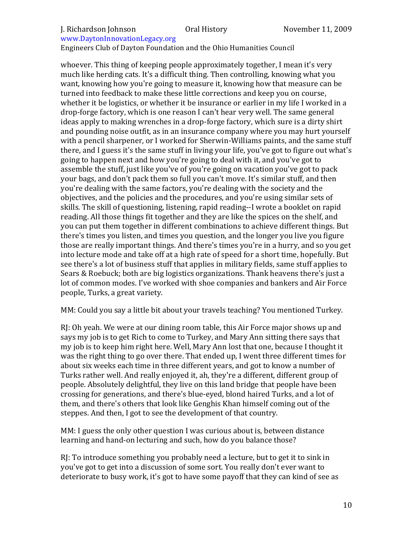## J. Richardson Johnson **Oral History** November 11, 2009

## www.DaytonInnovationLegacy.org#

Engineers Club of Dayton Foundation and the Ohio Humanities Council

whoever. This thing of keeping people approximately together, I mean it's very much like herding cats. It's a difficult thing. Then controlling, knowing what you want, knowing how you're going to measure it, knowing how that measure can be turned into feedback to make these little corrections and keep you on course, whether it be logistics, or whether it be insurance or earlier in my life I worked in a drop-forge factory, which is one reason I can't hear very well. The same general ideas apply to making wrenches in a drop-forge factory, which sure is a dirty shirt and pounding noise outfit, as in an insurance company where you may hurt yourself with a pencil sharpener, or I worked for Sherwin-Williams paints, and the same stuff there, and I guess it's the same stuff in living your life, you've got to figure out what's going to happen next and how you're going to deal with it, and you've got to assemble the stuff, just like you've of you're going on vacation you've got to pack your bags, and don't pack them so full you can't move. It's similar stuff, and then you're dealing with the same factors, you're dealing with the society and the objectives, and the policies and the procedures, and you're using similar sets of skills. The skill of questioning, listening, rapid reading--I wrote a booklet on rapid reading. All those things fit together and they are like the spices on the shelf, and you can put them together in different combinations to achieve different things. But there's times you listen, and times you question, and the longer you live you figure those are really important things. And there's times you're in a hurry, and so you get into lecture mode and take off at a high rate of speed for a short time, hopefully. But see there's a lot of business stuff that applies in military fields, same stuff applies to Sears & Roebuck; both are big logistics organizations. Thank heavens there's just a lot of common modes. I've worked with shoe companies and bankers and Air Force people, Turks, a great variety.

MM: Could you say a little bit about your travels teaching? You mentioned Turkey.

RJ: Oh yeah. We were at our dining room table, this Air Force major shows up and says my job is to get Rich to come to Turkey, and Mary Ann sitting there says that my job is to keep him right here. Well, Mary Ann lost that one, because I thought it was the right thing to go over there. That ended up, I went three different times for about six weeks each time in three different years, and got to know a number of Turks rather well. And really enjoyed it, ah, they're a different, different group of people. Absolutely delightful, they live on this land bridge that people have been crossing for generations, and there's blue-eved, blond haired Turks, and a lot of them, and there's others that look like Genghis Khan himself coming out of the steppes. And then, I got to see the development of that country.

MM: I guess the only other question I was curious about is, between distance learning and hand-on lecturing and such, how do you balance those?

 $R$ . To introduce something you probably need a lecture, but to get it to sink in you've got to get into a discussion of some sort. You really don't ever want to deteriorate to busy work, it's got to have some payoff that they can kind of see as